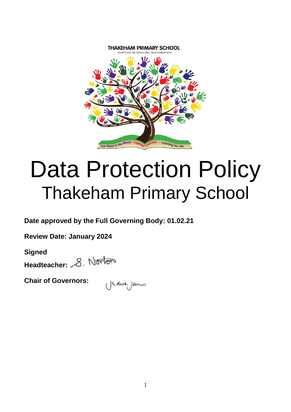

# Data Protection Policy Thakeham Primary School

**Date approved by the Full Governing Body: 01.02.21**

**Review Date: January 2024**

**Signed** Headteacher: 8. Norton

**Chair of Governors:** 

(Judich James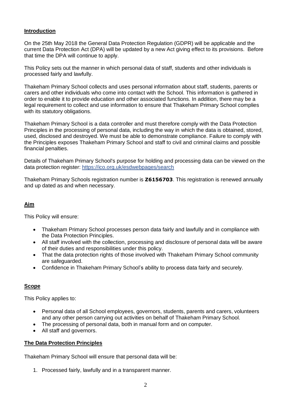## **Introduction**

On the 25th May 2018 the General Data Protection Regulation (GDPR) will be applicable and the current Data Protection Act (DPA) will be updated by a new Act giving effect to its provisions. Before that time the DPA will continue to apply.

This Policy sets out the manner in which personal data of staff, students and other individuals is processed fairly and lawfully.

Thakeham Primary School collects and uses personal information about staff, students, parents or carers and other individuals who come into contact with the School. This information is gathered in order to enable it to provide education and other associated functions. In addition, there may be a legal requirement to collect and use information to ensure that Thakeham Primary School complies with its statutory obligations.

Thakeham Primary School is a data controller and must therefore comply with the Data Protection Principles in the processing of personal data, including the way in which the data is obtained, stored, used, disclosed and destroyed. We must be able to demonstrate compliance. Failure to comply with the Principles exposes Thakeham Primary School and staff to civil and criminal claims and possible financial penalties.

Details of Thakeham Primary School's purpose for holding and processing data can be viewed on the data protection register:<https://ico.org.uk/esdwebpages/search>

Thakeham Primary Schools registration number is **Z6156703**. This registration is renewed annually and up dated as and when necessary.

# **Aim**

This Policy will ensure:

- Thakeham Primary School processes person data fairly and lawfully and in compliance with the Data Protection Principles.
- All staff involved with the collection, processing and disclosure of personal data will be aware of their duties and responsibilities under this policy.
- That the data protection rights of those involved with Thakeham Primary School community are safeguarded.
- Confidence in Thakeham Primary School's ability to process data fairly and securely.

# **Scope**

This Policy applies to:

- Personal data of all School employees, governors, students, parents and carers, volunteers and any other person carrying out activities on behalf of Thakeham Primary School.
- The processing of personal data, both in manual form and on computer.
- All staff and governors.

## **The Data Protection Principles**

Thakeham Primary School will ensure that personal data will be:

1. Processed fairly, lawfully and in a transparent manner.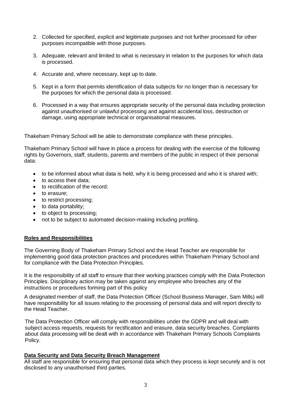- 2. Collected for specified, explicit and legitimate purposes and not further processed for other purposes incompatible with those purposes.
- 3. Adequate, relevant and limited to what is necessary in relation to the purposes for which data is processed.
- 4. Accurate and, where necessary, kept up to date.
- 5. Kept in a form that permits identification of data subjects for no longer than is necessary for the purposes for which the personal data is processed.
- 6. Processed in a way that ensures appropriate security of the personal data including protection against unauthorised or unlawful processing and against accidental loss, destruction or damage, using appropriate technical or organisational measures.

Thakeham Primary School will be able to demonstrate compliance with these principles.

Thakeham Primary School will have in place a process for dealing with the exercise of the following rights by Governors, staff, students, parents and members of the public in respect of their personal data:

- to be informed about what data is held, why it is being processed and who it is shared with;
- to access their data;
- to rectification of the record;
- to erasure;
- to restrict processing;
- to data portability;
- to object to processing;
- not to be subject to automated decision-making including profiling.

#### **Roles and Responsibilities**

The Governing Body of Thakeham Primary School and the Head Teacher are responsible for implementing good data protection practices and procedures within Thakeham Primary School and for compliance with the Data Protection Principles.

It is the responsibility of all staff to ensure that their working practices comply with the Data Protection Principles. Disciplinary action may be taken against any employee who breaches any of the instructions or procedures forming part of this policy

A designated member of staff, the Data Protection Officer (School Business Manager, Sam Mills) will have responsibility for all issues relating to the processing of personal data and will report directly to the Head Teacher.

The Data Protection Officer will comply with responsibilities under the GDPR and will deal with subject access requests, requests for rectification and erasure, data security breaches. Complaints about data processing will be dealt with in accordance with Thakeham Primary Schools Complaints Policy.

#### **Data Security and Data Security Breach Management**

All staff are responsible for ensuring that personal data which they process is kept securely and is not disclosed to any unauthorised third parties.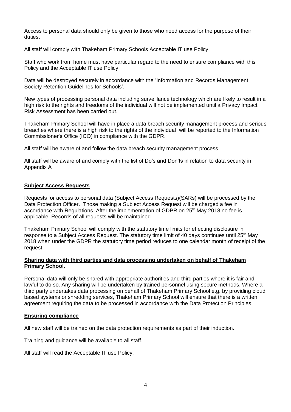Access to personal data should only be given to those who need access for the purpose of their duties.

All staff will comply with Thakeham Primary Schools Acceptable IT use Policy.

Staff who work from home must have particular regard to the need to ensure compliance with this Policy and the Acceptable IT use Policy.

Data will be destroyed securely in accordance with the 'Information and Records Management Society Retention Guidelines for Schools'.

New types of processing personal data including surveillance technology which are likely to result in a high risk to the rights and freedoms of the individual will not be implemented until a Privacy Impact Risk Assessment has been carried out.

Thakeham Primary School will have in place a data breach security management process and serious breaches where there is a high risk to the rights of the individual will be reported to the Information Commissioner's Office (ICO) in compliance with the GDPR.

All staff will be aware of and follow the data breach security management process.

All staff will be aware of and comply with the list of Do's and Don'ts in relation to data security in Appendix A

## **Subject Access Requests**

Requests for access to personal data (Subject Access Requests)(SARs) will be processed by the Data Protection Officer. Those making a Subject Access Request will be charged a fee in accordance with Regulations. After the implementation of GDPR on 25<sup>th</sup> May 2018 no fee is applicable. Records of all requests will be maintained.

Thakeham Primary School will comply with the statutory time limits for effecting disclosure in response to a Subject Access Request. The statutory time limit of 40 days continues until 25<sup>th</sup> May 2018 when under the GDPR the statutory time period reduces to one calendar month of receipt of the request.

#### **Sharing data with third parties and data processing undertaken on behalf of Thakeham Primary School.**

Personal data will only be shared with appropriate authorities and third parties where it is fair and lawful to do so. Any sharing will be undertaken by trained personnel using secure methods. Where a third party undertakes data processing on behalf of Thakeham Primary School e.g. by providing cloud based systems or shredding services, Thakeham Primary School will ensure that there is a written agreement requiring the data to be processed in accordance with the Data Protection Principles.

## **Ensuring compliance**

All new staff will be trained on the data protection requirements as part of their induction.

Training and guidance will be available to all staff.

All staff will read the Acceptable IT use Policy.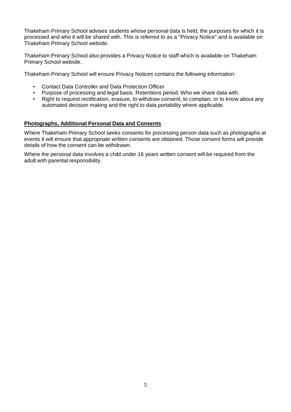Thakeham Primary School advises students whose personal data is held, the purposes for which it is processed and who it will be shared with. This is referred to as a "Privacy Notice" and is available on Thakeham Primary School website.

Thakeham Primary School also provides a Privacy Notice to staff which is available on Thakeham Primary School website.

Thakeham Primary School will ensure Privacy Notices contains the following information:

- Contact Data Controller and Data Protection Officer
- Purpose of processing and legal basis. Retentions period. Who we share data with.
- Right to request rectification, erasure, to withdraw consent, to complain, or to know about any automated decision making and the right to data portability where applicable.

#### **Photographs, Additional Personal Data and Consents**

Where Thakeham Primary School seeks consents for processing person data such as photographs at events it will ensure that appropriate written consents are obtained. Those consent forms will provide details of how the consent can be withdrawn.

Where the personal data involves a child under 16 years written consent will be required from the adult with parental responsibility.